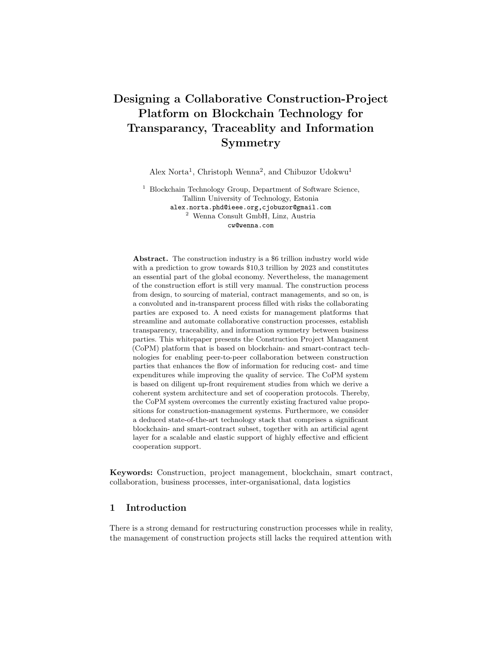# Designing a Collaborative Construction-Project Platform on Blockchain Technology for Transparancy, Traceablity and Information Symmetry

Alex Norta<sup>1</sup>, Christoph Wenna<sup>2</sup>, and Chibuzor Udokwu<sup>1</sup>

<sup>1</sup> Blockchain Technology Group, Department of Software Science, Tallinn University of Technology, Estonia alex.norta.phd@ieee.org,cjobuzor@gmail.com <sup>2</sup> Wenna Consult GmbH, Linz, Austria cw@wenna.com

Abstract. The construction industry is a \$6 trillion industry world wide with a prediction to grow towards \$10,3 trillion by 2023 and constitutes an essential part of the global economy. Nevertheless, the management of the construction effort is still very manual. The construction process from design, to sourcing of material, contract managements, and so on, is a convoluted and in-transparent process filled with risks the collaborating parties are exposed to. A need exists for management platforms that streamline and automate collaborative construction processes, establish transparency, traceability, and information symmetry between business parties. This whitepaper presents the Construction Project Managament (CoPM) platform that is based on blockchain- and smart-contract technologies for enabling peer-to-peer collaboration between construction parties that enhances the flow of information for reducing cost- and time expenditures while improving the quality of service. The CoPM system is based on diligent up-front requirement studies from which we derive a coherent system architecture and set of cooperation protocols. Thereby, the CoPM system overcomes the currently existing fractured value propositions for construction-management systems. Furthermore, we consider a deduced state-of-the-art technology stack that comprises a significant blockchain- and smart-contract subset, together with an artificial agent layer for a scalable and elastic support of highly effective and efficient cooperation support.

Keywords: Construction, project management, blockchain, smart contract, collaboration, business processes, inter-organisational, data logistics

# 1 Introduction

There is a strong demand for restructuring construction processes while in reality, the management of construction projects still lacks the required attention with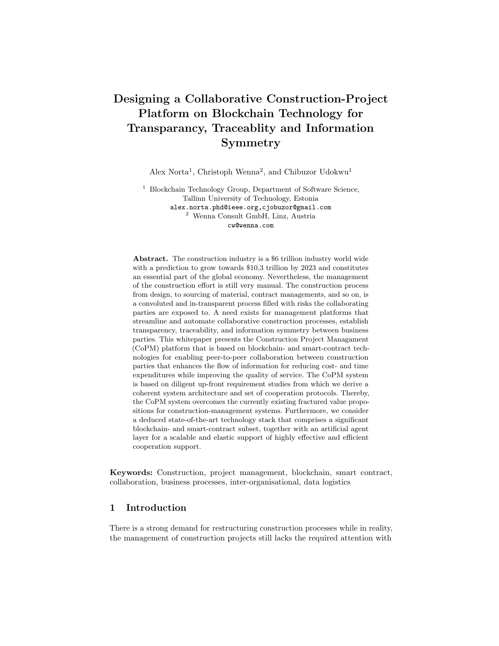respect to meaningful automation and thus, this industry is one of the least digitised industries<sup>3</sup> in its current existence, i.e., slightly above agriculture and hunting<sup>4</sup>. More specifically, the construction industry suffers from a lack of investment in innovation that results in limited collaboration sophistication with structural fragmentation [23]. The lack of a collaboration-automation context results in hardly any of the available data in the construction industry to be utilised<sup>5</sup>, thus, knowledge management is currently dysfunctional. The researchand development investment is currently less than  $1\%$  of net sales<sup>6</sup>, causing a labour-productivity decline over the last decades [49].

Smart contracts [12] are computer protocols that automate the enforcement of machine-readable contracts to allow for trackable and irreversible transactions that render trusted third parties unnecessary. Blockchain technology [48] achieves these trackable and irreversible transactions with the first usecase being the crypto-currency Bitcoin [37]. Still, smart contracts yield the option to establish agile collaboration configurations between decentralised autonomous organisations (DAO) [39] that comprise loosely coupled process-aware and inter-organisational exchange interfaces that protect internal process privacy. The digital-assets that drive the internal processes of such autonomous organizations are referred to as tokens. Recently, a trend emerges to consider such distributed ledger technology (DLT) also for ensuring in the construction industry [8] that data is secure, decentralised and immutably traceable. Thus, DLT and smart contracts are driving the development of novel business models that rely heavily on financial transactions and the exchange of information. As a key feature of blockchain technology, construction business on a blockchain system [54] allows to collaborate in a trustless context where information exchange flows through project lifecycles securely across distributed systems. A detected key application area of DLT is for so-called building information modelling (BIM) [28] that is a process for generating and managing digital representations, i.e., files, of physical and functional characteristics of places to support decision-making for building, or other built asset.

Digital assets in the construction industry are building objects and models used for representing and communicating the requirements of a building project [36]. In building projects, the tender specification shows detailed requirements of a building project and these are represented as building models digital assets [33]. The standards for specifying the tenders varies across different countries. Some of the common standards include the European standard for building specifications<sup>7</sup>, building standards produced by American Society for Testing and

<sup>3</sup> http://www.bimplus.co.uk/people/blockchain-and-construction-how-why-andwhen/

<sup>4</sup> https://www.mckinsey.com/industries/capital-projects-and-infrastructure/ourinsights/imagining-constructions-digital-future

<sup>5</sup> https://geniebelt.com/blog/go-mobile-go-cloud-but-keep-the-data

<sup>6</sup> https://www.mckinsey.com/industries/capital-projects-and-infrastructure/ourinsights/the-construction-productivity-imperative

<sup>7</sup> EU building specification standards https://ec.europa.eu/oib/pdf/mit-standardbuilding-specs<sub>e</sub> $n.pdf$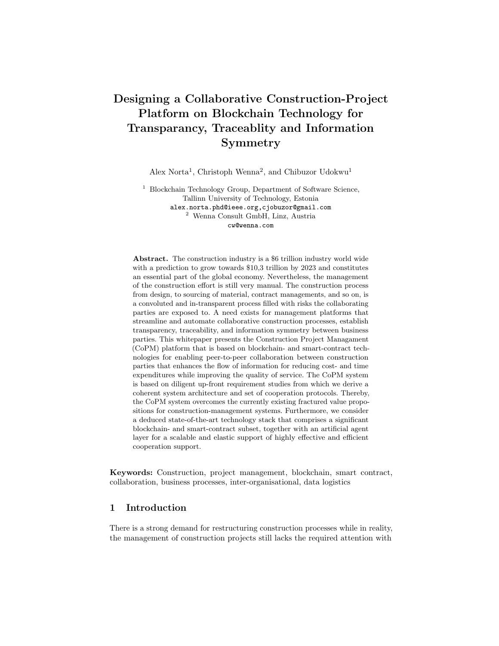Materials (ASTM) etc. These standards are not machine-executable. The Building Information Model (BIM) provides an optimized code for creating machine readable building requirements. The BIM standard is described by the BIM objects and BIM models used in creating digital building representations [4]. The Original Equipment Manufacturers (OEM) provides specifications for describing building objects (BO) they produce, while designers such as engineers and architects use the building objects as inputs for creating building models (BM).

The state of the art shows a recognised need for construction-collaboration automation to inter-organisationally integrate processes along which the right type of information can flow from the right sources to the right sinks at the right time. However, we find a gap with respect to the available automation systems being not well studied with respect to the complete requirement sets that should be satisfied for construction-collaboration systems. Furthermore, the technology stack such construction-collaboration systems are based on, are outdated and inappropriately assembled, given the actual requirement sets. This whitepaper fills the gap by posing the question of how to design automation systems that address the actual requirements for achieving high quality construction-project collaborations without fractures and frictions causing unnecessary time delays and cost increases? To establish a separation of concerns, we deduce the following sub-questions: What are the sets of requirements that include and assign also the diverse stakeholders who collaborate? What is the architecture topology of a requirements satisfying construction-collaboration system? What are the dynamic exchange protocols between stakeholders and system components into which embedded on-chain transactions assure immutable traceability? Consequently, we introduce the conceptual model of the CoPM system that is a blockchaintechnology employing distributed applications (DApp).

The remainder of this whitepaper is structured as follows. Section 2 discusses further preliminaries and also gives a running case that captures the AS-IS state of the construction industry. Section 3 arranges the requirement sets for a construction-collaboration system into a logical space that allows for a targeted association of key stakeholders. Next, Section 4 deduces a distributed architecture from the logical space of system requirements. Section 5 then detects key onchain transactions that are system relevant for potential litigation situations and positions these onchain transaction into dynamic exchange protocols that occur between stakeholders and the architecture of the construction-collaboration system. Section 6 specifies a blockchain-technology stack of pre-existing applications that can be assembled for a rapid deployment of the CoPM construction-collaboration system and also discusses relevant related work. Finally, Section 7 concludes this whitepaper and also discusses limitations, open issues and future work.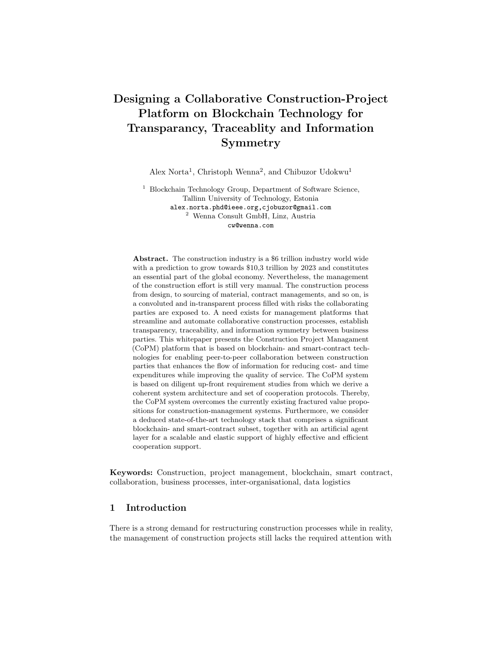# 2 Preliminaries

Section 2.1 gives a running case that captures the AS-IS state of deficiencies that exist in the construction industry. Next, Section 2.2 gives further presuppositions that expands on the running case.

#### 2.1 Running Case

This article uses as a running case the construction disaster of the new Berlin Brandenburg international airport as described by [55] for which we show in Figure 1 a depiction. Accordingly, the numerous problems that have arisen with the construction of the new Berlin Brandenburg international airport are representative examples within construction projects that can be overcome using the CoPM platform.



Fig. 1: Running case about the Berlin airport construction that reflects the AS-IS situation of the construction industry.

From a technical and management perspective, the problems of the new Berlin Brandenburg international airport are mainly caused by a lack of collaborationautomation, distrust between collaborators and inefficient knowledge management

4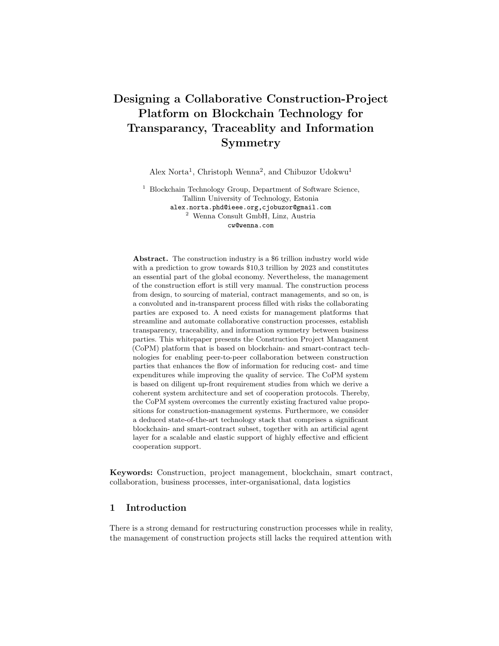among the project participants. Examples of these problems are the approx. 150,000 construction defects, the exploding costs of the project from roughly 2 thousand million euros to begin with, to over 5 thousand million euros at the last count, the fact that the opening date of the airport was delayed by almost 20 years and ensuing (legal) conflicts among the project participants.

The long planning period and the large number of subcontractors employed results in a high level of complexity. The fact that individual areas of tasks that would better have been carried out by either a single contractor, or several wellcoordinated contractors were spread out over several contractors that did neither efficiently coordinate nor efficiently exchange knowledge among each other, has added to the complexity of the project. The complexity further increases by numerous and significant changes in the size of and standards set for the airport while the construction project is already under way. (See also, e.g.,  $[22,30]$ ). The resulting administrative and co-ordination work is extremely difficult to manage, considering the low degree of digitization of the construction industry that results in chaos at the construction side.

## 2.2 Related Work

There is a reluctance in the construction industry to adopt BIM and share information for several reasons<sup>8</sup> for fear of legal consequences in case of low performance. Building performance becomes comparable with BIM and assignable to architects, engineers, builders and material supplies. For example, equipped with sensors such as IoT devices, a smart building component can send information about its performance to a distributed database, rather than directly to the manufacturer who is not interested in disclosing actual performance. The study [19] already describes a standard for integrating IoT and BIM objects.

The AS-IS state of the construction industry is plagued by several structural problems [42] that we list below. First, construction projects are complex [3] because of interrelated processes, sub-processes and involved stakeholders such as architects, contractors, subcontractors, customers, suppliers, etc. Second, a lack exists of complete specification for processes and sub-processes and uniformity of materials, work and teams at construction sites that result in uncertainty [21] as each construction project is time-limited and site-based unique. Third, the structure of the construction industry is tightly coupled in individual projects and loosely coupled in permanent networks that foster short-term thinking to the detriment of long-term innovation and learning. Fourth, industry specific is also the high fragmentation [31] in supply chains comprising small and medium size enterprises (SME) with undifferentiated products and services and limited capabilities for investments in new technologies. Finally, the construction industry fosters a rigid culture [3] with a strong resistance to change.

Existing construction collaboration systems are fractured in that when construction-team members collaborate with each other on the same BIM model, many issues arise, due to the usage of different software and tools [1]. Thus, due

<sup>8</sup> https://www.geospatialworld.net/blogs/bim-adoption-around-the-world/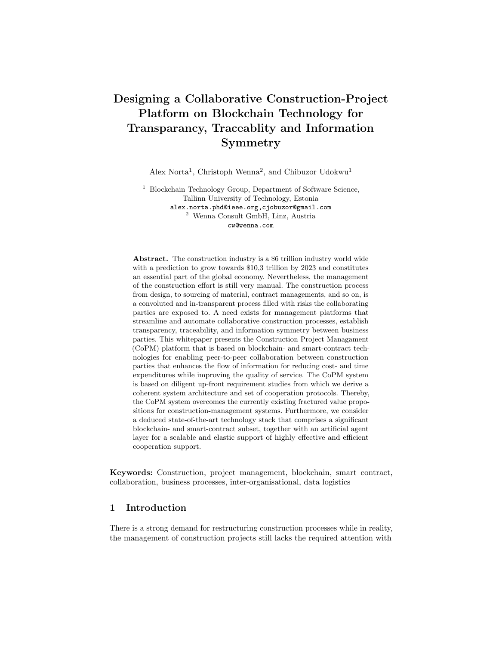to a lacking industry governance consensus, no inter-organisational coordination occurs for organising the internal data structure, policies, procedures, and control processes for accessing company-internal data sets. With such fragmentation, the development and deployment of integrative and collaborative technologies in the construction industry lags behind [46] that in other sectors. Furthermore, the fractured setup of collaborations in construction industry does not support an efficient implementation of the concept-modular construction involving several parties. Modular construction involves a process of constructing several modular parts of a building off-site using standardized building materials under controlled condition [32]. As a result, smaller organizations cannot effectively take part in construction collaboration due to a lacking proper governance system for such inter-organizational processes. The e-Sourcing Reference Architecture (eSRA) is a conceptual framework that provides technical governance for managing complex inter-organizational collaborations between businesses [41]. Thereby, the current difficulty in executing cross-team collaborations in construction due to different software systems, can easily be managed by eSRA. In addition, eSRA also provides a method for managing processes in inter-organizational collaborations and we refer the reader to [40] for further information.

With blockchain-enabled smart contracts, it is possible to monetize digital and non-digital assets created during a construction project. These types of legitimized assets commonly referred to as tokens, can easily be exchanged between parties involved in a construction project when certain conditions are reached without involving a trusted third party [15]. These conditions are outlined in a smart contract and thereby represent the rules that govern the inter-organizational collaborations between the parties in a construction project. Utility- and security tokens are commonly used in decentralized applications [10] where the former provides the users of decentralized applications the resource to access and consume services that are provided on such platforms. The security tokens represent the stakeholders' investments and ownership in a decentralized platform. In describing the requirements and architecture of the proposed CoPM platform in this whitepaper, only the utility tokens are considered.

The importance of collaboration to ensure project success, requires overcoming the complexities and limitations caused by the fragmentations [43] in the construction industry. Collaboration comprises core entities, i.e., structure, process, agents and artefacts that are conditioned by their respective context. Overcoming fractions requires aligning processes [35] inter-organisationally. A failure persists to adjust inter-organisational processes and working arrangements with different sources of data [7, 45]. Data for collaboration in construction projects are formed [25] across multiple organisations [27] in so-called virtual teams.

# 3 Stakeholders Associated to CoPM-Requirements

We present the stakeholders and their associated requirements in the decentralized CoPM system. An AOM goal model [47] is used in outlining the functional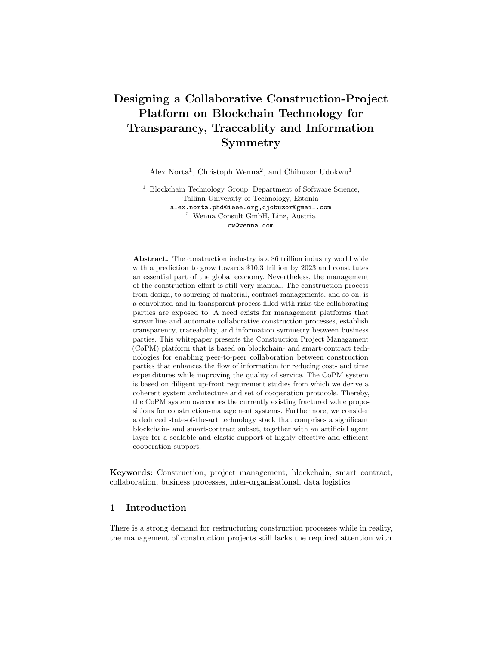requirements and the associated non-functional requirements and assigned roles depicted as stick men. Furthermore, the functional requirements are referred to as the goals and depicted as parallelograms, while the non-functional requirements are referred as the quality goals and depicted as clouds.

The stakeholders in the CoPM platform are system participants that perform different functions. Based on expert knowledge, we identify the following classes of users for CoPM. The designers, contractors, auditors, project owners(project managers), original equipment manufacturers (OEM), admin and software agents. The designers are the architects, planners, engineers, and specifiers that perform goals that result in the creation of digital assets on CoPM. The contractors are the engineers responsible for the day-to-day construction activity of a building project. Auditors are certified individuals that perform checks to verify that a construction work meets the required-, or stated standards. The project owners and managers represent the individuals responsible for coordinating the building projects. The OEM produces physical building objects used by contractors. They also produce digital assets such as BIM objects used by designers in creating corresponding building models. The admins are the platform administrators responsible for onboarding new users. The software agents represent the autonomous and semiautonomous agents. They include  $I\sigma\tau$  agent, KCY agent and auditor agent. The IoT agent records and transmits the status of building projects. The KYC agents perform a verification of identity and other documents submitted by new users. The auditor agent along with human auditor verifies the status of building projects in a semi-autonomous way. The rest of this section is presented as follows. Section 3.1 of this whitepaper presents the main value proposition of the system that is the highest-level root functional goal as well as the first-level goals (FLG) derived from the main value propositions. Section 3.2 describes the user-asset refinements and Section 4 describes the project refinements. Finally, Section 5 describes the payment refinements.

## 3.1 System Value Proposition

The main value proposition of CoPM in Figure 2 is to provide a decentralized platform for supply chain and project management in the construction sector. Due to the use of blockchain technology, the proposed system inherits the trustworthiness associated with blockchain systems. Furthermore, blockchain ensures that the activities recorded on the system are immutable and traceable. The platform is also designed to be affordable resulting in a low entry barrier for even small construction organizations. The supply-chain management capability of CoPM also encourages modular construction and with smart contracts, this system ensures participants deliver projects that meet the requirements that are immutably stored on a blockchain.

To design a system that satisfies the main value proposition in Figure 2, we derive the following requirements that are referred to as the FLGs. These are as follows, onboard new user, manage digital asset, onboard new project, manage project, manage payment and manage wallet. The onboard new user goal enables the execution of know-your-customer (KYC) related goals and assignment of roles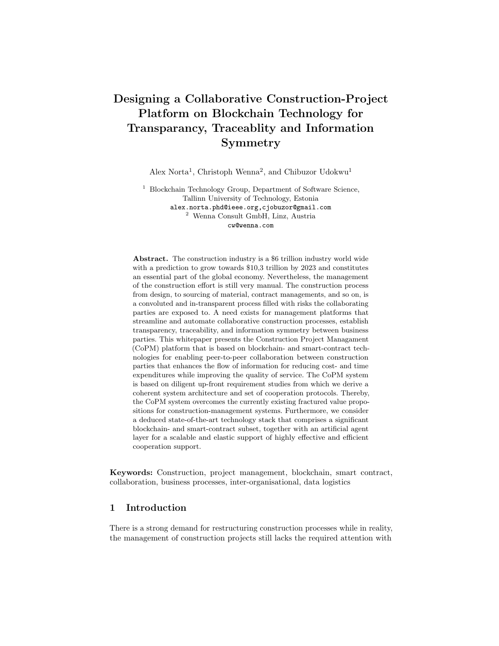to the users. The manage digital asset goal enables the users to create digital assets such as BIM objects and models and then manage the ownership and usage of such assets. The digital assets are design models used in deriving physical properties of a construction-, or building project. Therefore, properly managing these assets and rewards associated is a crucial property of the proposed platform. The onboard new project is a goal that enables users to initiate construction projects, manage technical- and business requirements associated to the project, manage the tender process and assign roles to relevant stakeholders. The manage project goal addresses the possibility to manage an ongoing-, or already completed project. For an ongoing project, the project managers and project owners can update, or modify requirements associated to a project. In the case of an already completed project, the user can manage tasks associated to building repairs and -maintenance. The *manage payment* goal provides the possibility of tracking milestones associated to a project and processing payments under clearly stated conditions. The manage wallet goal caters for allowing all involved stakeholder to manage their different token types and also for transferals between users of the platform.



Fig. 2: CoPM-system value proposition and the FLG model.

The quality goals represent the non-functional system properties associated to respective goals of the proposed platform. We now identify and define all the relevant quality goals that are necessary in designing the CoPM platform. The quality goal descriptions provided in this whitepaper are based on standard literature definitions and are further adapted in the CoPM context [41]. They quality goals include; scalable, secure, transparent, trustworthy, performant, usable, a ordable, portable and automated(highly/semi). Scalable implies that an associated goal (or asset) can grow rapidly. Security in this case implies unauthorized access, or manipulation to a system goal and associated assets. Transparency refers to the observabilty of a system goal and the ability of the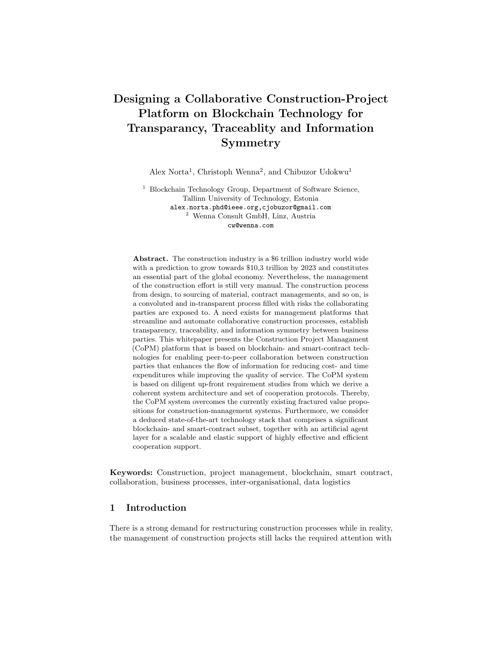participant to verify that the end-result derived from realising a goal is based on clearly outlined rules of CoPM. Trustworthy is the property of the system, or goal that the executed behavior follows expectations. Performant is the measure of the amount of useful work performed by executing a system goal. Usability is the easiness of the involved stakeholders to understand the system goal in its executable realisation. Affordability implies that executing the goals associated to CoPM are with feasible costs. Portable implies that the associated system goal can be associated in multiple heterogeneous technology stacks. Finally, automated signifies that the associated goal is self-executed by a software-, or hardware agent with embedded software.



Fig. 3: CoPM-system user-asset refinement goal model.

Based on the above definitions of the quality goals, the non-functional requirements are assigned to the FLGs. The quality goals apply hierarchical inheritance implying that a quality goal associated to a goal is the same to all other sub-goals derived from it. Trustworthy and affordable are associated to the main value proposition of the platform signifying that all goals executed on the platform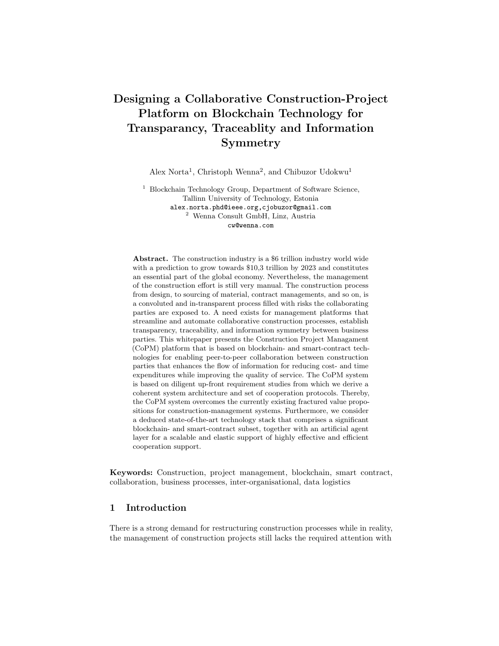are trusted and affordable. As shown in Figure 2, all the functions performed in onboarding new user and manage payment are scalable. The manage project goal should be usable, portable and scalable as well. Manage digital asset is usable, secure and scalable. Onbaord new project is portable, usable and scalable. Finally, manage wallet is scalable, usable and portable.

The stakeholders in Figure 2 are assigned to their relevant goals as follows and similarly to quality goals, there exists an assignment inheritance down the hierarchy of the goal branches. Thus, the admin software agent is associated to the goal onboard new user. The goals for onboard new project and manage project are associated to the project owner and project manager. The project owner is also associated to manage payment. Finally, manage wallet goal can be performed by all non-software agents on the platform.

## 3.2 User-Asset Refinements:

The user-asset refinements in Figure 3 contain the goals FLG *onboard new user* and manage digital asset. Both goals are scalable implying that an unlimited amount of project stakeholders must be on-boarded on the platform and an inexhaustible amount of digital assets can be created and stored on the platform.

Onboard New User: The FLG onboard new user shown at the left of Figure 3 comprises the following goal refinements; select role, perform KYC and assign a key. The select role goal enables users to select the role they wish to perform on CoPM. The roles include; designer, contractor, auditor, project owner/manager, and OEM. A new user provides evidence about the capacity to function in a particular role. Such evidence can include skill certifications, educational qualifications etc. The perform KYC goal enables a KYC agent to verify data submitted by the user. If the KYC is successfully completed, the user is assigned a cryptographic key for the purpose of identification on the platform. The goal select role is expected to be usable by all the participants and portable. As a result, the users can easily perform tasks associated to onboarding a new user on the mobile devices.

Manage Asset: The FLG manage digital asset at the right of Figure 3, contains the following sub-goals; create building object, create building model and share digital asset. The digital assets that are managed in the construction collaboration platform are all defined based on the standardization defined in the BIM. The building objects are a clearly defined digital representation of a building object produced by OEM. The objects serve as an input for designing in developing building, or construction models used by engineers in translating to a physical building construction project. Therefore, manage digital asset goal provides the possibility for an OEM and building designers to create and manage these types of assets. BIM objects can be created on external channels and then stored on blockchain for further use. This is enabled by the goal to create new BIM objects and store BIM object. Storing building objects as digital assets is processed using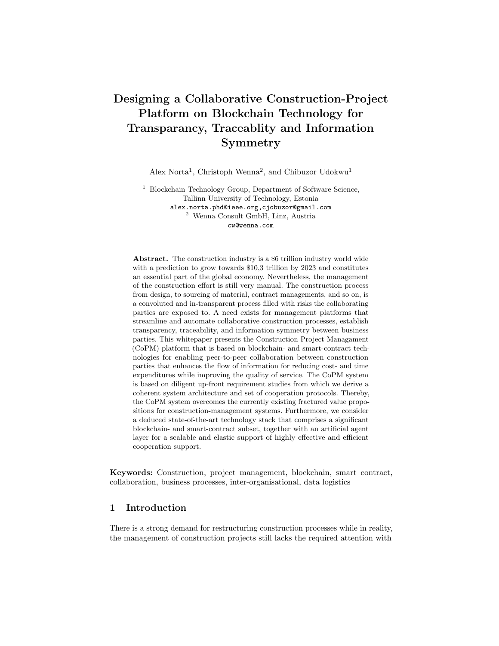the utility token. This ensures that the system is not spammed with unnecessary building objects that provide no real value to the stakeholders such the engineers and designers.

A designer can create a new BIM model by importing an already existing model (on the blockchain) and creating a new model from several BIM objects. These provisions are included with the goals import BIM model and create new BIM model. The *utility token* is used in processing model importation and thereby rewarding appropriately the original model creator. The BIM models created by the designer are stored on the blockchain for further use. This is enabled by the goal store BIM model and the goal is processed using the utility token.

The goal share digital asset provides the possibility for OEMs and designers to provide access to their created digital assets for building contractors and project owners. This goal ensures that the designers and OEM can efficiently and transparently track the use of their intellectual property (IP) and receive appropriate credits and payments for its use. The sub-goals share digital assets shows the created assets can be used by others in the platform by directly associating the asset a project, or a project owner. Finally, both the OEMs and designers can view the building objects and models stored on the CoPM. This is enabled by the goal view digital asset.

The goals *store BIM object* and *store BIM model* are expected to be performant as they result in a state change in the blockchain network. The goal share digital asset is expected to be portable to ensure that BIM models and objects stored on a blockchain can be easily shared and viewed using mobile devices.

## 3.3 Project Refinements

The project refinement in Figure 4 contains the FLG onboard new project and manage project. Both goals are scalable and usable. This implies that both goals allow for a sudden increase in number of projects deployed on the platform and associated stakeholders can easily execute the associated goals correctly.

Onboard New Project: The FLG onboard new project shown at the right of Figure 4 provides the project owner the possibility of creating technical and business requirements before a new project is initiated on the platform. In addition, the project owner and project manager can also manage the tender process. The FLG onboard new project contains the sub-goals; set requirements and manage tender. Using the set requirement goal, a project owner can outline technical and business requirements associated to a new project. To set technical requirements, the project owner import BIM models containing building objects as well as their clearly defined properties. The BIM model is then associated to the project and published on the blockchain. A utility token is used in importing BIM models and publishing requirements on the blockchain. The business requirements contain a set of milestones that are fulfilled before payment is issued to the contractor. Tokens are set aside, locked in a smart contract and released to the contractor after the condition in the milestone is satisfied. A utility token is used in issuing payment to the contractor on reaching a project milestone.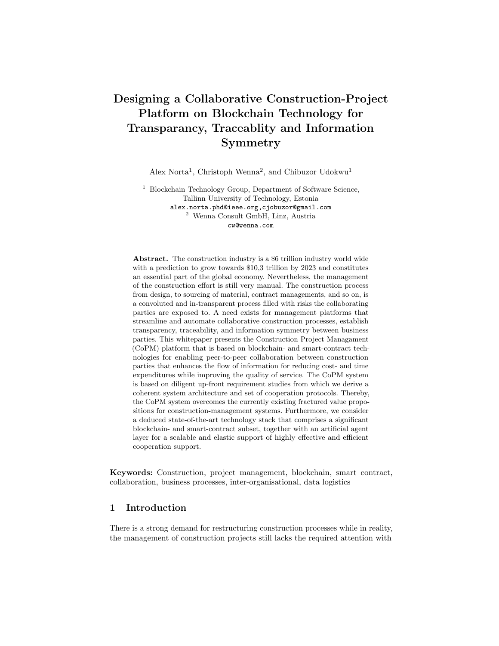

Fig. 4: CoPM-system project refinement goal model.

The manage tender goal enables the project owner to initiate a bid for a project and manage roles associated to a project. The following sub-goals are contained in manage tender; submit bid, select project stakeholders and assign roles. Project designers and contractors can submit a bid for a new project design (model), or for developing an already designed project. The submit bid goal is processed using a utility token to prevent users from spamming the platform with invalid bids. The goal select stakeholders provides the possibility for software bid agents to identity the winning bid. The goal assign roles allows the project owner to manually assign roles to the stakeholders involved in the project and this is processed with a utility token.

The goal that enables project owners to set requirements for a new project is expected to be secure ensuring the project requirements, cannot be manipulated by any malicious user. Furthermore, the goal that enables bidding by the contractors and designers is expected to be secure as well. Publishing project requirements to the blockchain as well as the bid submission goal are expected to be performant.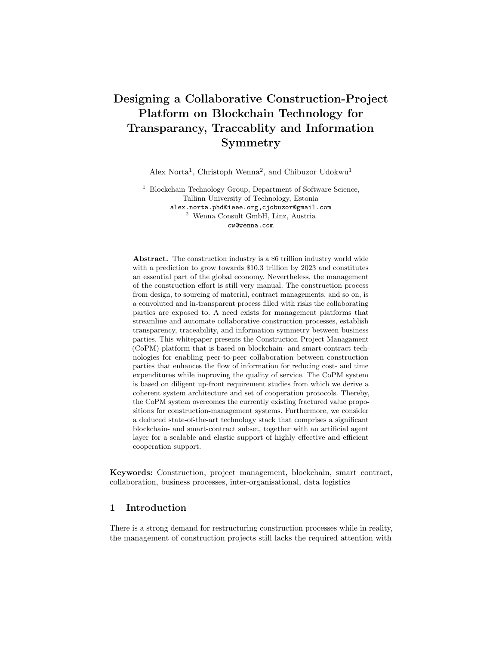The rules that guide the bidding process enabled by manage tender goal is expected to be transparent.

Manage Project: The FLG manage project shown to the left of Figure 4 ensures that the project owner and project manager are capable of updating requirements for an ongoing project and also maintain existing projects. Maintaining existing projects using the collaborative construction platform, involves checking the lifespan of a building object to determine if repair, or replacement is needed. The status of a building object that needs repair, or replacement is published using the *utility token*. The goals replace *building object* and *repair building* object to trigger a new bidding process and allow contractors to submit bids for the maintenance work. The goal recycle building object is a sub-goal of the replace building object, allowing a project owner to earn a token for using an environmentally friendly building maintenance method.



Fig. 5: CoPM-system payment-refinement goal model.

The goal *update ongoing project requirement* allows the project owner to modify the requirements of a project that is already being executed by a contractor. The new requirements are then published to the blockchain using the goal publish BIM requirements and this is processed using the utility token. The goal notify stakeholders messages all parties involved in the project about the new requirements. An offline discussion can take place and the additional payment may be requested by project contractors. Additional payments can be performed by initiating a utility token transfer from the wallet of the project owner to the smart-contract enabled escrow account of the project. The escrow project payment is further described in Section 3.4. The project contractors can either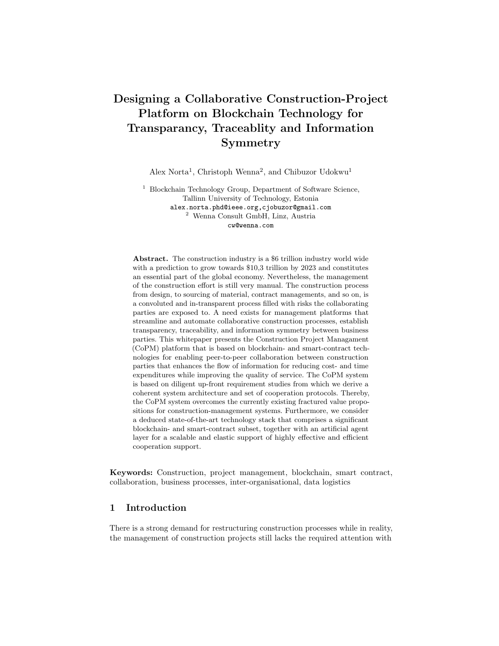accept, or reject the projects. The goal accept/reject changes is published on the blockchain and processed using the utility token.

The relevant quality goals of the sub-goals of the manage project FLG are presented as follows. Checking the lifespan of a building project is semi-automated involving records from IoT-recording devices and manual checks done by project owners. The rule that defines how the checks are conducted is transparent and can be verified by all the stakeholders of CoPM. Publishing building status, BIM requirements as well as responses from contractors regarding changes to the project requirement are expected to be performant. The listed goals result in state changes on the blockchain. The update ongoing project requirement is expected to be secure and usable by the project owner.

#### 3.4 Payment Refinements:

The goal payment re nement in Figure 5 contains the FLG manage payment and manage wallet for which all the associated goals are scalable. A large amount of project payments can be handled by the manage payment goal and an unlimited number of token transfers can be executed from the wallet.

Manage Payment: The FLG manage payment shown at the left of Figure 5 provides the possibility to track an ongoing project and unlock an escrow type of payment when a specific project milestone has been reached. The FLG manage payment has the following sub-goals; manage tracking channels and check project milestone. The  $i$ tracking channels<sub>i</sub> are the artificial agents that a contractor uses to record the project status and publish them on a blockchain. These devices may include RFID readers, barcode scanners for scanning bar-codes of physical building objects delivered at a construction site and IoT-video cameras for recording the graphical/pictorial state of a project. The manage tracking channels goal enables the construction engineer to select tracking devices and publish the project status on a blockchain. The goal publish project status is processed using the utility token.

The check project milestone goal provides the possibility for auditors on the platform to verify that the project meets the technical- and business requirements described during the project onboarding. The auditing is a two-staged task executed by both a human auditor and software agents - auditor. The auditor agent verifies that the BIM-objects delivered at the construction project meets the requirements of the BIM-model requirements published in the project onboarding. The bar-codes of the physical building objects contain information that outlines the BIM-objects therein. The human auditors perform checks to verify the visible properties of the completed project and confirm that its in line with the original building requirements published by the project owner. A payment is issued to the contractor after checks are successful. The make payment goal is a process using the utility token.

The manage project tracking channels must be usable by the contractors. The rules for checking project milestone must be transparent to all participants

14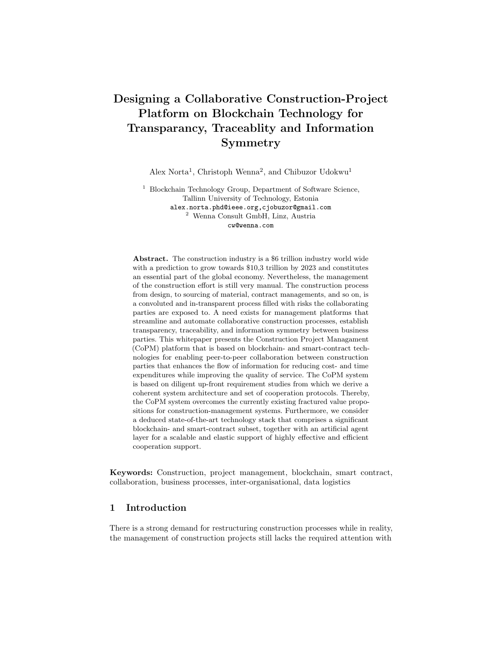in the CoPM. Publishing of the project status and making payments must be performant.

Manage wallet: The FLG manage wallet shown at the right of Figure 5 to provide all the participants the possibility to manage their tokens and transfer tokens between users in the platform. The FLG manage wallet has the sub-goals transfer tokens and view tokens. The goal transfer tokens allows all stakeholders to share and exchange tokens among each other. To view the token history and check the details of token exchanges, the goal view token balance is used to achieve that. The goal *transfer tokens* is expected to be performant as it results in a state change on the blockchain network.

# 4 CoPM Architecture

The static components and information-exchange interfaces are derived directly from the goal models above. First, we show in Section 4.1 the methodology that is used in transforming the system requirements represented by the goal models into architectural components of the CoPM-platform. In Section 4.2, we describe the components, actors and information-exchange interfaces that comprise the CoPMsystem architecture. Lastly, Section 4.3 maps the static architecture components to eSRA to enable a proper management of inter-organizational collaborations in the construction processes.

## 4.1 Mapping Goal Models to Component

We show the main components, sub-components, interfaces, and ports of a system and also outline relationships that exist between them [53]. In deriving the component diagram of the CoPM platform from the goal models, the following heuristics are used. The FLGs shown in Figure 2 are used in deriving the main components of the system that contain themselves sub-components equally derived from the refinements of the first-level goals. Due to limited space, only the first- and second goal refinements are used in deriving the components and sub-components of the CoPM-architecture.

Actors who are mapped from the roles associated with the goal-model refinements, are linked to the corresponding components and sub-components. The directional component interfaces are used in representing the data exchange between components. The directional broken-line arrows denote the architecture's dependency represented by the action performed by various actors associated with a component as well as the direction of data flow in the architecture. The thick lines show the direct exchange of data between components without involving any actors.

The quality goals representing the non-functional requirements of the proposed CoPM-platform are not used in the heuristics mapping for deriving the static architecture. Instead, the quality goals are realized in the system-development stage using standard architectural patterns [26, 51] for developing non-functional requirements in computer systems.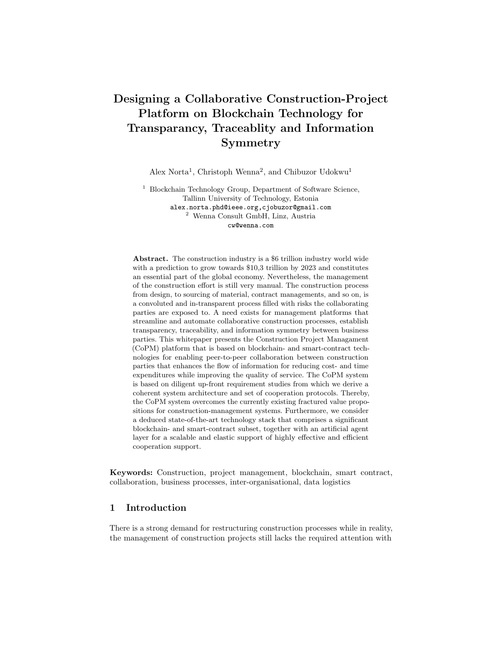# 4.2 Component Diagram

We show in Figure 6 the component diagram of the CoPM-architecture obtained by applying the heuristic mapping rule described in Section 4.1. The architecture shows six main components and the sub-components of the main components. Each component contains interfaces for reading and writing operations and actor exchanges with components are shown with broken lines. The actors' interactions are also described by the information transfer involved per activity. The intercomponents' read/write operations are outlined by the thick lines and grey components show those gaining, or spending tokens depending on the actors' activity.



Fig. 6: CoPM-platform architecture topology.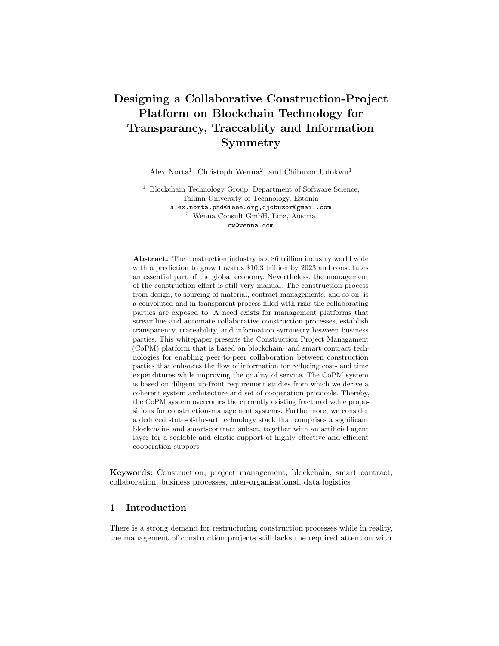User manager: The user manager component has the following sub-components KYC, Key manager and Role manager. The KYC component has an interface for a KYC-agent to verify the identity of the users of CoPM-platform. The role manager has two interfaces, one for assignment of roles by the admin actor and the other interface allows specified users to read the role's data that resides in the component. The following data types are available on the user-manager component, identity data, user roles and user keys.

Digital asset manager: The component enables the creation and exchange of digital assets such as building objects and models on the platform. The component has three sub-components and they include building object, building model creators and digital asset publisher. The building-object components provide the interface for the OEM to create and store BIM-objects on the platform that serve as input for creating building models. The dedicated creator component is accessible to designers such as architects and engineers. The component provides an interface for creating building models using the building objects from the OEM as inputs. The building models created represent the technical requirements of construction- , or building projects. The sub-component digital asset publisher enables the designers to share building models created with other users on the platform. The digital asset publisher also has a read interface that provides the possibility for specified users to access the building models as building requirements. The following data types are available on the digital asset manager component, building-object- and building- model data.

Project onboarder: The component enables the project owner to initiate a new project by outlining the technical requirements and business requirements of the project. Also, the component manages user-biding activities that result from the project tender. The project onboarder has the following sub-components including requirement logger and tender manager. The requirement logger provides an interface for the project owner to write and store technical- and business requirements of a new project. The technical requirements are accessed from the building models shared from the digital-asset publisher. The business requirements contain milestones and deadlines for completing the outlined technical requirements of the project initiated. The tender-manager sub-component enables the project manager and -owner to initiate bidding for a new project. The tender component provides another interface for designers and contractors to submit bids for a project. There exists also another interface for assigning project roles based on the result of the bidding. The user-roles data used by the biding agent are accessed from the role-manager component. The following data types are available on the project onboarder, project-technical requirement, project-business requirements and user-bid data.

Completed project manager: The component enables the project owner to maintain existing building projects and update the requirements of an ongoing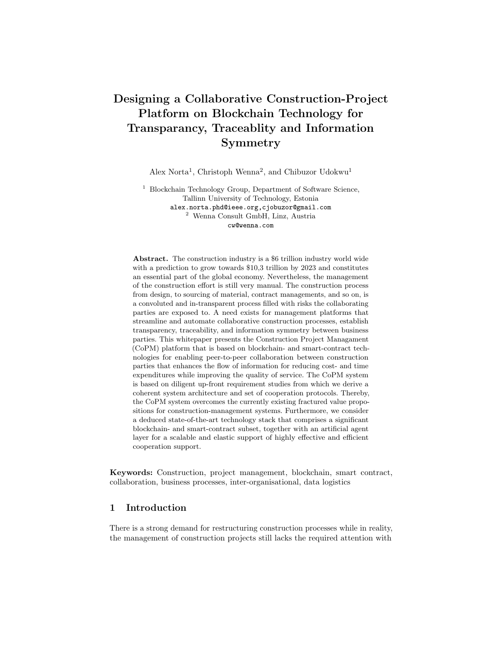building project when necessary. The project manager has the sub-components maintain project container and requirement updater. The project container has logs about the status of a completed building project to identify when repairs are necessary. The sub-component provides interfaces for external IOT-agents to monitor the lifespan of building objects in a completed building project and to publish the status of the building objects. The project manager and project owner can as well read the status of building objects to initiate tenders for the repair, or replacement of a building object. The requirement updater provides an interface for the project owner to modify and update the requirements of an ongoing building project. The new requirement is updated on the requirement logger component. The data types available on the project manager are building-status data and updated building-requirement data.

Payment manager: The component enables the platform to automatically monitor ongoing projects and sends payments to the contractors and designers when both technical- and business criteria of the project are satisfied. The payment has two sub-components, tracking logger and milestone logger. The former provides an interface for IoT-agents to publish the status of a project. The contractor/designer handling the project ensures that the project status is correctly published by IoT-agents. The milestone logger contains information about the milestones that have been achieved during the execution of the project. The component provides an interface for an auditor agent to process payments once specific milestones have been reached. The general information about a milestone data relevant for the project is read from the requirement logger component while the information about completed milestones is read from the tracking logger as milestone status. The payment manager component contains the project status and milestone-status data types.

The setup of the sub-components of the project onboarder and payment manager enable the implementation of a modular construction concept. This is because a single project can be spitted into several parts and bids are submitted separately for each part. The software-agent auditor monitors the status of each of the sub-projects and issues payments accordingly.

Wallet manager: The component provides interfaces for other components to access tokens and exchange tokens with other users. The wallet manager also allows users to access and view their token balances. The wallet manager has the sub-components, *token manager* and *token history component*. In the token manager component, an interface is provided for the auditor agent to access tokens and perform payments to project executors. There occurs an exchange of the token balance between the token manager and completed project manager subcomponents for updating requirements and initiating tenders. Furthermore, the token balance is exchanged with the project-onboarder component for publishing requirements and initiating tenders for new projects. The token-history subcomponent has a read interface for all users in the platform to view their token balances. The token-history component accesses the users' token-balance data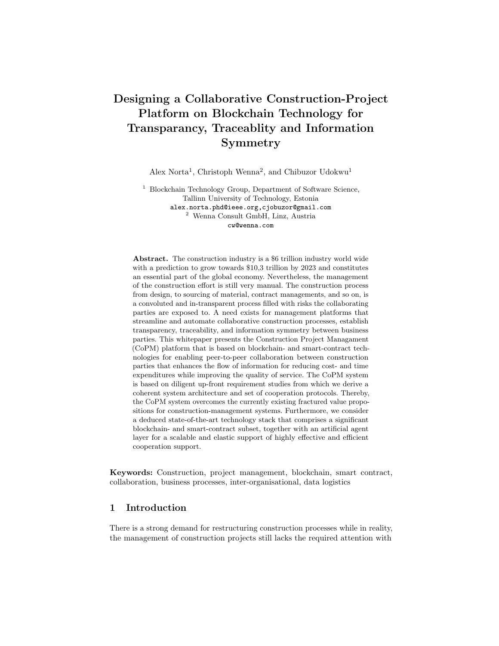from the token manager. The token-balance data is the only type available in the wallet manager.

#### 4.3 Construction-Management Business Collaborations on eSRA

The static architecture of the construction management platform in Figure 6 contains inter-organizational collaborations between stakeholders such as project owner, building designer and OEM in creating building requirements. These collaborations are observed in the sub-component of the project onboarder, the requirement logger and sub-components of digital asset manager, the building object creator and building model creator components. The eSRA provides a framework for managing these types of collaborations [41] that is achieved by introducing an eSourcing middleware and translational engine to interface between the legacy systems used in executing the collaboration workflows in the construction management. Thereby, an eSRA compliant CoPM-system enables a seamless exchange of information between collaborating parties. Figure 7 shows the highest abstraction level of two orthogonal collaboration directions among the stakeholders in construction management. The first collaboration direction is between the building designer and OEM, the second is between the building designer and project owner. The former enables the exchange of building objects for creating building models and the latter enables the exchange of building models for creating building requirements.

To create building models on the CoPM-platform, the building-designer requests for building objects (AT) digital objects from the OEM through the construction management broker. The construction management exchange provides an interface for establishing a binding exchange of information (AB - BA) through the construction management broker between the building-model creator component and building-object creator component. On receiving the data, the eSourcing Setup Support and the translator component transform the data such that it can be readable on the legacy-management components for creating and managing building models. The same applies to the project owner in creating building requirements. The project owner requests for a building model (CX) from the building designer through the construction-management broker. A binding exchange of data is established between the construction-management exchange interfaces (AC - CA). On receiving the BM-data, the process-translational engines transform the data such that it is readable on the legacy management systems for creating and managing building tenders.

The main benefit of the eSRA in application to the CoPM-platform is to ensure that the digital objects such as building objects, building models and building requirements created with legacy managements systems in collaborating organizations are readily available to collaborating partners. In addition, the setup of eSRA-collaboration in construction ensures that information exchanged between parties are machine readable and provided in a transparent manner. The transparency of the construction-management broker in eSRA provides the possibility of managing complex inter-organizational processes in construction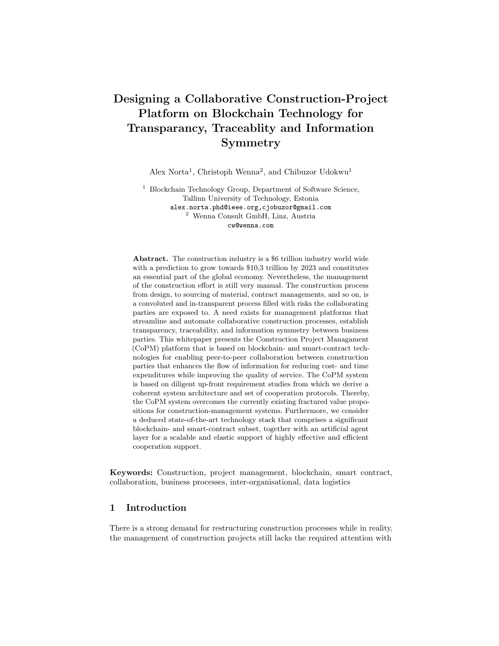collaborations, thereby enabling a full implementation of modular construction concepts involving several parties in a single construction project.



Fig. 7: CoPM-architecture eSRA-components.

# 4.4 Construction-Management Mapping of eSRA to the Static Architecture

We show in Table 1 the mapping of the components in eSRA of Figure 7 to the static architecture in Figure 6 of the CoPM-platform. The first column shows the eSRA-components being the construction-management exchange, legacy management and construction management broker. The eSRA conceptual components are excluded in the mapping since they do provide any collaboration interface for the involved parties. The main components and sub-components of the static architecture are represented in the row items.

For the legacy management, the components Requirement logger, Building object creator and Building model creator are mapped to. The requirement logger component enables the project owner to create building technical requirements using existing legacy systems. The requirements are based on the data (building models) received from the building designers. The building-object creator enables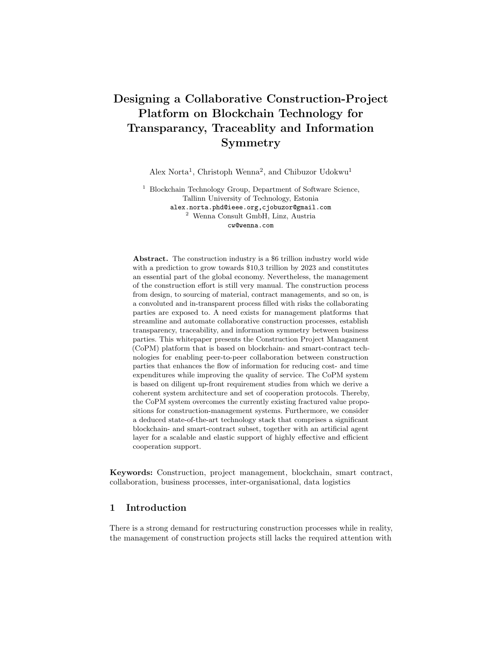|                         | Static Architecture Components |  |  |    |   |     |  |            |                                            |    |  |             |  |    |
|-------------------------|--------------------------------|--|--|----|---|-----|--|------------|--------------------------------------------|----|--|-------------|--|----|
| eSRA Components         | UΜ                             |  |  | PΟ |   | CPM |  | <b>DSM</b> |                                            | PМ |  | <b>WM</b>   |  |    |
|                         |                                |  |  |    |   |     |  |            | KYC KM RM RL TM PC RU BOC BMC DAP TL ML TM |    |  |             |  | TH |
| Legacy management       |                                |  |  | x  |   |     |  | x          | x                                          |    |  |             |  |    |
| Construction management |                                |  |  |    | x |     |  |            |                                            | x  |  |             |  |    |
| exchange                |                                |  |  |    |   |     |  |            |                                            |    |  |             |  |    |
| Construction management |                                |  |  |    |   |     |  |            |                                            |    |  | $\mathbf x$ |  |    |
| broker                  |                                |  |  |    |   |     |  |            |                                            |    |  |             |  |    |

Table 1: CoPM eSRA-Static Architecture Components Mapping.

Accronyms

UM: User Manager, PO: Project Manager, CPM: Completed Project Manager

DSM: Digital Asset Manager, PM: Payment Manager, WM: Wallet Manager

TM: Tender Manager, PC: Project Container, RU: Requirement Updater

BOC: Building Object Creator, BMC: Building Model Creator, TH: Token History DAP: Digital Asset Publisher, TL: Tracking Logger, ML: Milestone Logger, TM: Token Manager

the OEMs to create digital representations of their building objects using existing legacy systems for computer aided designs (CAD). The building-model creator enables building designers such as architects to create building models using legacy CAD-systems.

For the construction management exchange, the components tender manager and *digital asset publisher* are mapped to. The tender manager provides an interface for the project owner to share and exchange building requirements and other project details with other stakeholders. The digital-asset publisher enables both the OEMs and building designers to share and exchange building objects and -models with other stakeholders in the building project.

The eSRA-construction management broker provides a trusted and transparent exchange of information between collaborating parties that is mapped to the milestone logger. The latter enables the auditor (software agent) to provide a transparent exchange of information among the collaborating parties regarding the status of an ongoing construction project.

# 5 Dynamic Blockchain Protocol

This section provides the exchange protocols of dynamic behavior on the CoPMplatform showing the transactions that are executed on blockchain referred to as the on-chain transactions. The use-cases are also presented showing how the stakeholders interact with the platform while executing the on-chain transactions. The on-chain transactions are presented in a table showing the components, transaction event, description and associated stakeholders. The use-cases are presented using UML-sequence diagrams showing the order of activities that occurs as the system stakeholders execute the on-chain transactions. Section 5.1 shows the on-chain transactions and Section 5.2 presents the platform use-cases.

KYC: Kyc Component, KM: Key Manager, RM: Role Manager, RL: Requirement Logger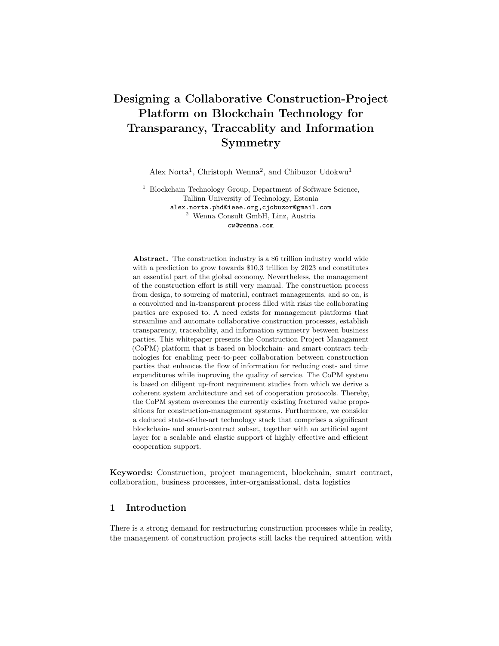#### 5.1 Construction Platform On-Chain Transactions

Table 2 shows the transactions executed on-chain outlining eight events that are stored on-chain on the specified CoPM-platform. These events involve the creation of digital assets, initiating project tenders, issuing project payments and monitoring, and maintaining completed building projects.

The first two events that are publishing building object and publishing building model, occur at the digital-asset manager component. The building object and building model are the digital assets that are created and shared on the platform and therefore are stored on-chain. The OEM is the stakeholder involved in creating and sharing building objects, while the building designers are responsible for creating and sharing building models.

| Component                 | Event          | Description                                   | Stakeholders          |  |  |
|---------------------------|----------------|-----------------------------------------------|-----------------------|--|--|
| Digital Asset manager     |                | Publishing building object                    | OEM                   |  |  |
|                           | $\overline{2}$ | Publishing building model                     | Designer              |  |  |
| Project onboarder         | 3              | Publishing building requirement Project owner |                       |  |  |
|                           | $\overline{4}$ | Submitting bid                                | Contractor            |  |  |
|                           | 5              | Publishing project stakeholders               | Bid agent             |  |  |
| Payment manager           | 6              | Logging ongoing project status                | IoT agent, Contractor |  |  |
|                           | 7              | Making project payment                        | Auditor               |  |  |
| Completed project manager | 8              | Logging completed project status Project      | ЮT<br>owner,          |  |  |
|                           |                |                                               | agent                 |  |  |

Table 2: CoPM Onchain Transactions.

The on-chain events such as publishing building requirement, submitting bid and publishing project stakeholders, occur in the project onboarder. These events are necessary for initiating project tenders and selecting the correct stakeholders for executing the project. The project owner is responsible for publishing building requirements to initiate the project tender. The contracts submit bids to potentially execute the project and a software-agent bid agent selects the right stakeholders for the project.

The on-chain events such as logging ongoing project status and performing project payment, occur in the payment-manager component. IoT-agents as well as contractors provide the status of the project and log the information on the blockchain. An auditor agent verifies the project status and issues payment when requirements/milestone have been reached.

The last on-chain event logging completed project status occurs at the completed project manager and it occurs in the completed project manager. The project status is necessary for determining if a repair-, or a replacement activity is executed on the building objects. The project owner, as well as the IoT-agents are responsible for executing this event.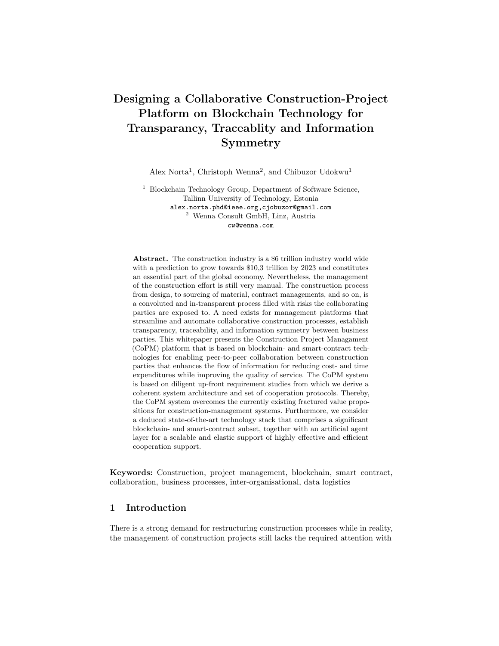#### 5.2 Construction Platform Use-Cases

The use-cases for the CoPM-platform show the set of message exchanges that are necessary for executing the on-chain events. The use-cases are presented as UML-sequence diagrams that depict interactions between actors and components of a system in a sequential order [53]. Note that the red-circled numbers in Figures 8-11 correspond to the list of on-chain events in Table 2. The message exchanges between components and agents of the CoPM-platform are classified according to the following operations: digital asset creation operations, tender initiation operations, project payment operations and building maintenance operations.

Digital asset-creation operations: This operation shows the set of message exchanges necessary for creating digital assets such as building objects (BO) and models. First, an OEM-agent imports BO from external sources and then publish the same on the platform. A building designer accesses the BO, using it as input for creating building models (BM). The latter is then published by the designer and becomes accessible to other users for creating technical requirements of building projects. These activities are shown in Figure 8.



Fig. 8: Digital-assets creation operations sequence diagram.

Tender-initiation operations: To set up a project tender and identify project stakeholders, the project first accesses existing building requirements from the digital asset manager component. The component returns to the user building models containing the necessary technical requirements to start the tender process. The project owner outlines the necessary deadlines for the project milestones and then publishes the building requirements. The contractors and engineers can then submit their bids containing payment details and possible deadlines for executing the project. The bid agent identifies the winning bids and then allocates stakeholders to the project by returning the identification-details public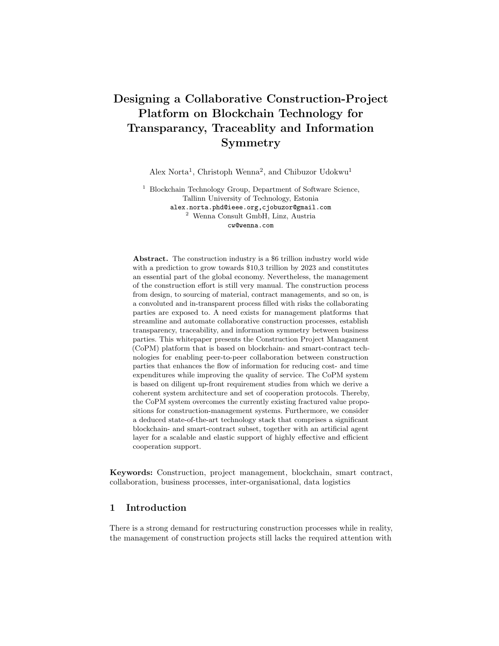key (PK) and project roles of the selected contractors to the project owner. These activities are shown in Figure 9.



Fig. 9: Tender-initiation operations sequence diagram.

Project-payment operations: On completing projects, or reaching particular project milestones, payments are performed to contractors. The activities necessary for executing payments are outlined as follows. First, the contractor uses an IoT-agent to publish the status of the project. The data associated with project status are logged on the tracking-logger component. Based on the information contained on the project-status data, the project-milestone status is then logged on the milestone-logger component. The auditor agent reads the milestone status and issues the necessary payment to the contractor. The payment data contain the contractor identification (PK), milestone completed (Mlst) and payment amount (amt). These activities are shown in Figure 10.



Fig. 10: Project-payment operations sequence diagram.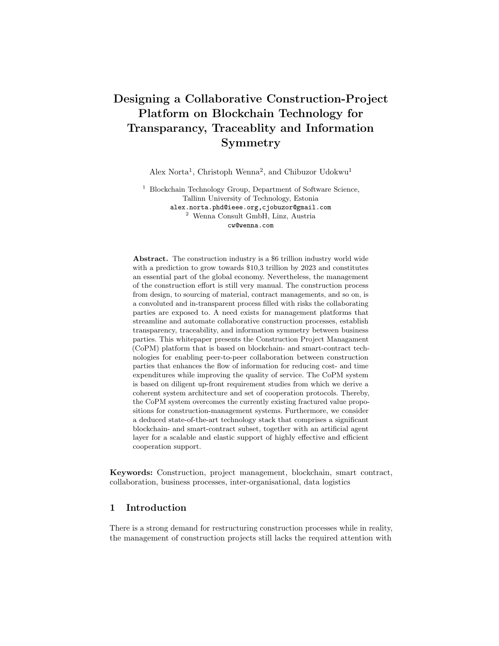

Fig. 11: Building-maintenance operations sequence diagram.

Building-maintenance operation: This operation contains activities necessary for monitoring completed projects and initiating a tender process for building-object repairs, or -replacements. First, the project owner sets an IoTagent to read a building status to then log the status data to the project-container component. A check is performed to confirm if a repair is needed for the building objects, or if it is necessary to replace the object. In the first case, a repair-tender process is initiated and executed on the project-onboarder component for the damaged building object. In the second case, a replacement-tender process is initiated on the project-onboarder component. These activities are shown in Figure 11.

# 6 Feasibility Evaluation and Discussion

The TO-BE state of the modernized construction ecosystem we present based on the proposed CoPM-platform where the new running case in Figure 12 shows how the CoPM-platform transforms the low-level digitization in the construction industry into a highly automated collaboration-enabled community. Next, a paper-based evaluation of existing technologies show the feasibility of a rapid development and deployment of the CoPM-architecture described in Section 4. The technologies outlined comprise of blockchain and non-blockchain projects that provide the possibility of deploying in accordance with the specific requirements of the proposed CoPM-platform. The blockchain-related projects examined show smart-contract platforms for realising software agents such as the bid agent and auditor where the former manages the tender processes while the latter manages the payment processes for completed projects. The examined blockchaintechnology stack also includes projects that provide decentralized storage of digital assets such as building objects and -models generated on the proposed platform. The non-blockchain technologies describe projects that provide standards for storing digital assets related to building construction. Furthermore, analyzed are available hardware/IoT-scanners that provide the possibility of generating machine-readable data for monitoring the status of ongoing- and completed building projects.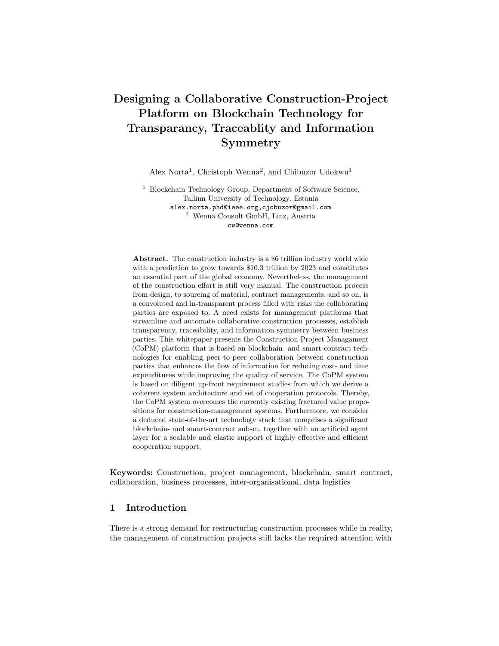The rest of this section is structured as follows. Section 6.1 shows the digitized construction management of the running case in the resolved TO-BE state. Section 6.2 provides an evaluation of smart-contract platforms and Section 6.3 discusses decentralized storage platforms for blockchain systems. Next, Section 6.4 describes available standards for coding digital assets in the construction industry. Lastly, Section 6.5 shows available radio-frequency identifiers (RFID) and IoT-technologies for implementing scanners for building objects.

## 6.1 CoPM-Modernized Construction Running Case

In Figure 12, we show the TO-BE state of the construction ecosystem after the deployment of the CoPM-platform. Unlike the current case where the complexity of projects results in project delays, rising cost and defects, the CoPM construction ecosystem enables properly managed collaboration for all the stakeholders in the construction project. First, as shown in Part A of the figure, the platform provides a collaboration system that supports the decoupling of complex project ideas into digitized building models that contain technical requirements of a construction project. This type of cooperation involving stakeholders such as project owners, building designers and OEMs in creating building requirements, eliminates the delays and complexities in communicating project requirement across stakeholders. As a result, the CoPM supports a highly digitized collaboration among stakeholders during the initial onboarding of a building project.



Fig. 12: Proposed TO-BE state CoPM-platform ecosystem.

The running case of the proposed CoPM-platform ecosystem shows in Part B that digitized building models are further decomposed into subsequent building objects containing different parts of a building project. These objects are machineexecutable and equipped with smart-contracts where the requirements contained

26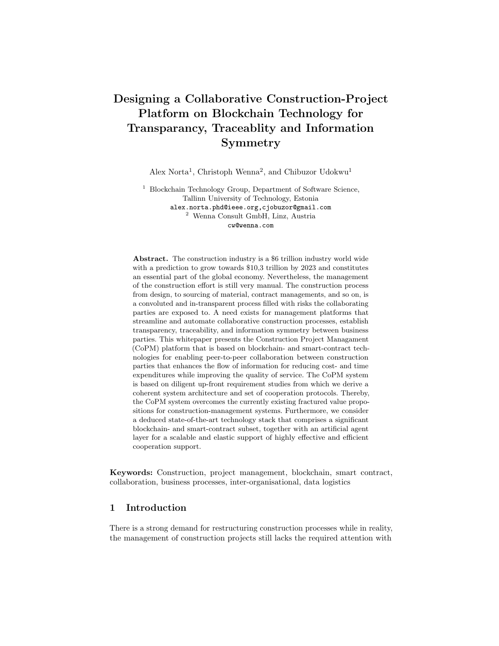are stored on a blockchain. The CoPM-platform, as depicted in part B of the Figure 12, thereby enables good knowledge management of building requirements in construction. This system provides an environment for impartial and automated bidding of a construction project that is made possible by blockchain-enabled smart-contracts.

The final phase of the CoPM-ecosystem, outlined in Part C of Figure 12, shows a semi-autonomous auditor accessing building requirements from blockchains to examine whether the completed project milestones satisfy the outlined requirements. The auditor uses sensors to obtain the current state of a building project and uses a smart contract to retrieve the requirements of a building project. Payments are only issued to completed projects that meet the building requirements. This thereby results in transparency during project settlements. Unlike the current case where distrust, defects and rising costs are common during the construction of complex projects, the CoPM-platform addresses these issues by providing a system for managing many contractors, digitizing construction processes and rewarding only projects that meet requirements using fully autonomous and semi-autonomous approaches. These effects are enabled by introducing machine-executable building requirements, blockchain-enabled smartcontracts, sensors and semi-automated building auditors into the construction ecosystem.

#### 6.2 Smart-Contract Platforms

The largest blockchain network for smart contracts, Ethereum network [11], is a potential network for deploying smart-contracts for the CoPM-system. The Ethereum network still uses a proof-of-work (PoW) consensus method for the verification of transactions on the network. The PoW-consensus method requires considerable computational power for confirming transactions in the network and it is also a scalability bottleneck. This limits the number of on-chain transactions that can be executed on the CoPM-platform. The proposed Ethereum 2.0 [13] combines PoW with the consensus method termed proof-of-stake (PoS) to address scalability issues and also maintain the security of the network. If Ethereum 2.0 is finally deployed, the network can provide a stable system for executing smart-contracts for the CoPM-platform. Although there exist several blockchain systems that supports smart-contracts [56], we considered only platforms that have shown a high degree of stability and enterprise-wide adoption. Therefore, we identify Qtum [18], Cardano [5] and Hyperledger Fabric [14] as potential blockchains for executing smart contracts on CoPM.

The Qtum network [18] is a highly scalable blockchain network for executing smart-contracts and uses an incentivized PoS consensus method for verifying transactions on the network. To address storage scalability and provide the possibility of executing smart-contracts on mobile devices, the Qtum network combines the Ethereum virtual machine (EVM) with the unspent transaction output protocol (UTXO) in bitcoin and a simple payment verification (SPV) method. This also enables backward compatibility with smart-contracts on the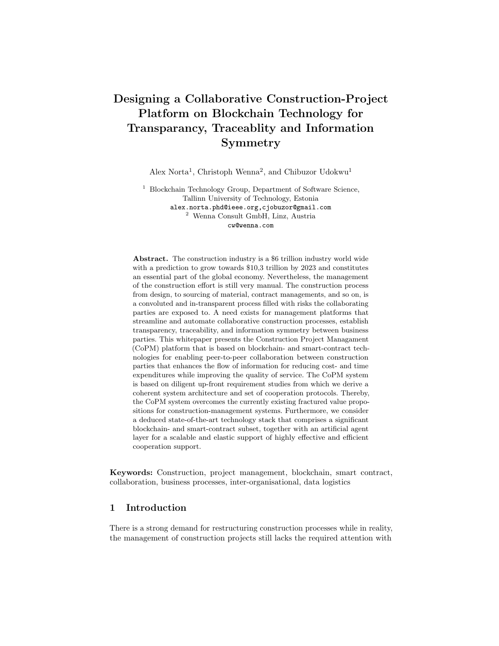Ethereum network. As a result, the Qtum network is a good candidate for executing smart contracts for the proposed CoPM-platform.

The Cardano blockchain network is another promising network for executing smart contracts for the CoPM-platform. Just as Qtum, the network uses PoS for verifying transactions, thereby making the network highly scalable when compared with the Ethereum network. The PoS method used in the Cardano network is referred to as the Ouroboros Proof of Stake Algorithm Protocol. The Ouroboros consensus protocol provides an additional layer of security on the network by using secure digital signatures and verifiable random functions to achieve unpredictability during key generation [29].

The Hyperledger Fabric is an example for a permissioned blockchain network for executing smart contracts. The network uses flexible consensus methods that are based on Byzantine fault tolerance (BFT) systems. The BFT consensus family are highly scalable and secure [2]. Still, the main limitation of these consensus types is that the scalability level decreases as the number of users increases. Therefore, there is a limited number of participants that can be involved in executing smart contracts deployed on Hyperledger [6]. To deploy a fully decentralized platform for executing construction projects with an unlimited number of stakeholders such as engineers, contractors, project managers, designers etc, Hyperledger is not a suitable choice.

## 6.3 Decentralized Storage

The proposed CoPM will generate a considerable amount of data objects such as digital assets that contain building requirements and data from scanners that contain building status. Due to corresponding blockchain limitations [52], decentralized storage provides extended addressable repositories for blockchain systems [17] and therefore, can be used in preserving digital assets in the proposed platform. The Interplanetary File System (IPFS) and BigchainDB are common decentralized storages used in blockchain applications [24], [16] and [50].

The IPFS is a peer-to-peer (p2p) system that provides the possibility for different computing devices to connect to the same file system for enabling access to large data sets with high efficiency over a non-trusting network [9]. As a result, the IPFS-system is transparent and resilient as well because there is no single point of failure. The system uses hyperlinks to address data sets and provide a structure for building a file-versioning system on the blockchain.

BigchainDB provides a scalable and distributed database for storing large data sets generated from blockchain applications [34]. The main strength of BigchainDB is that it also extends the storage- and file-management capabilities of smart-contract applications. The BigchainDB can be easily integrated into popular smart-contract platforms such as Ethereum, Qtum, etc. In addition, the BigchainDB is compatible with file versioning systems such as IPFS.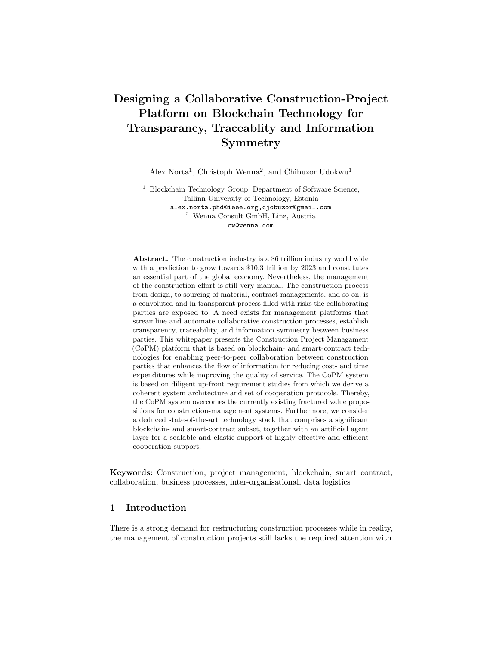#### 6.4 Digital Assets Standard

A universally acceptable and machine-readable standard is necessary for specifying digital assets created on the proposed decentralized CoPM-platform. The BIMmodel provides an optimized system for designing building models ensuring the integration of software systems in building construction [38]. BIM is useful in construction tendering by providing a common environment for defining building data, specify technical requirements of a building project as BIM-objects and models, specify business requirements of a project as BIM-metadata. These are useful for storing digital assets created in CoPM. Furthermore, by outlining building requirements as BIM-objects and -models, it is possible to identify residual risks associated with physical building objects. This is applicable to the CoPM-platform ensuring that completed projects are properly monitored for possible defects and the building status scanned by IoT-agents are stored using the BIM-standard.

In the traditional construction-tendering applications such as procore-submittals<sup>9</sup>, hundreds and thousands of PDF files are submitted by project stakeholders. The data in files are manually sorted by the project manager to identify necessary project stakeholders. However, with the BIM-standard, the building specifications are received as machine-readable codes that can result in the execution of smart-contracts in the decentralized CoPM-platform. Although the traditional construction-tendering applications are not suitable for gathering building requirements for the proposed CoPM-platform, form builders that are based on the BIM-standard can be implemented on the user interfaces to capture machine-readable data executable by smart contracts.

#### 6.5 Technologies for Building Scanners and -Sensors

The architecture of the proposed CoPM-platform shows significant involvement of IoT-devices in the broadcasting status of building objects when executing construction project and when monitoring already completed project. The project IOTA [44] provides a decentralized platform and real-time economy for processing data from IoT-devices and performing payments for services rendered. The project IOTA has the potential for providing a trusted environment for IoT agents involved in the CoPM project. This implies that the building-status data from RFID sensors with IoT-capabilities can be transparently transmitted to the datalogging component of the proposed CoPM-platform. Still, the IOTA-project is not compatible with other major blockchain platforms for executing smart-contracts and cannot be effectively integrated into the proposed CoPM-platform.

The new IBM microscopic chip<sup>10</sup> is a grain-sized computer with an independent processor, memory, storage and communication module that provides the possibility for transparent data transmission without the involvement of third-parties. For instance, the chip can be embedded into a physical building

<sup>9</sup> Procure Submittals https://www.procore.com/

<sup>10</sup> IBM Chip Computer https://cointelegraph.com/news/ibm-reveals-blockchaincomputer-smaller-than-grain-of-salt-to-track-objects-devices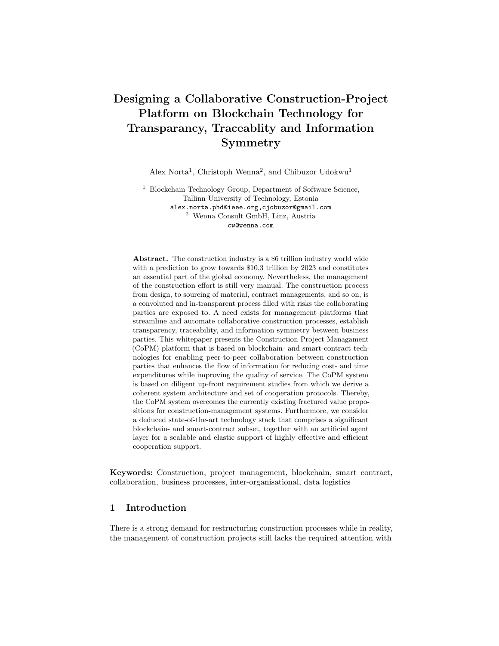object and the status of the object is transmitted in real-time to the receiving components of the proposed CoPM-platform. The chip is considered an anti-fraud device to prevent a possible malicious behaviour of building contractors within the ecosystem of the proposed construction platform.

The integration of autonomous IoT-agents on the CoPM-platform and the interaction between these agents and human users outlines the social-technical aspects of the platform. Therefore, a proper digital identity-management system is necessary to enable secure exchange of information produced by the stakeholders and agents in the system. The decentralized digital identity governance described in the machine-to-everything (M2X) economy [20], provides a formalized technique for identifying all the entities on the CoPM-platform. The M2X identity management describes a secure protocol for validating and authenticating entities in decentralized network.

# 7 Conclusion

This whitepaper presents the CoPM-platform, a decentralized platform for managing and executing construction projects. It describes a trusted and affordable system for outlining technical- and business requirements of construction projects and payments are performed to the building contractors when specific requirements have been reached in the specified project milestone. The platform gives building-project owners and -managers the possibility of deploying a modular construction project and with smart contracts, ensures that the projects are executed according to the specified requirements.

The main value proposition of the platform is to provide a decentralized system for supply-chain and project management in the construction industry. The main value proposition is further refined into the functional requirements of the system. The first-level functional requirement shows that the platform should be able to onboard new users, onboard new projects, manage digital assets, manage projects, manage payments and manage wallets. The stakeholders that participate on the platform include human users and software agents. The human users are project managers, project owners, OEM, designers, engineers, contractors and human auditors. The software agents include the admin, bid agent, and auditor. The auditing role represents a combination of human- and software agents. The project owners and -managers are responsible for managing and onboarding new projects. The OEM and designers are responsible for creating digital assets such as building objects and models on the platform. The contractors and engineers are responsible for executing projects according to the outlined requirements. The admin agent is responsible for onboarding users and assigning user roles. The bid agent manages the tender function during onboarding of a new project. Finally, the auditor performs payments when all the building conditions and -requirements are satisfied.

The static architecture of the proposed CoPM-platform is provided to further describe the system and a UML-component diagram, is used in showing the system architecture embedded in the eSRA architecture that shows the manage-

30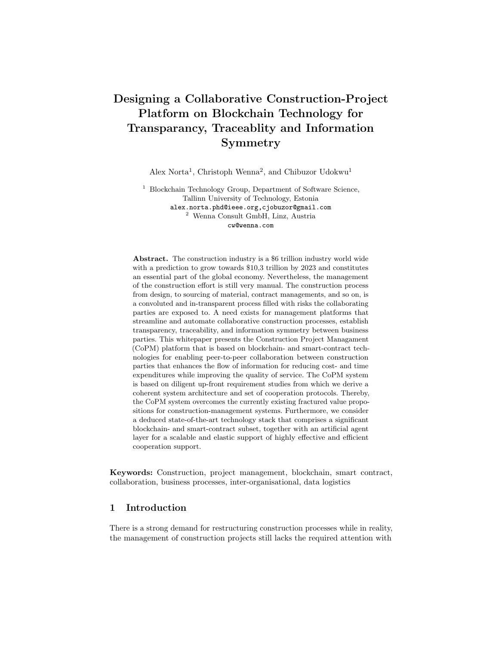ment of inter-organizational collaborations in building construction. The main components of the static architecture are derived from the heuristics mapping of the first level requirement of the platform and they include an user manager, project onboarder, completed building manager, digital asset manager, payment manager and wallet manager. Each component contains sub-components that further shows the hierarchically nested structure of the architecture. The stakeholders are also associated with components showing the actions performed as well as the data objects exchanged between components. The KYC- and admin agents are associated with the user-manager component and the data object in this component is the user data. The project manager, project owner, contractor, designer and bid agents are associated with the project onboarder component. The data objects that are stored in project onboarder are the project's technical requirements, business requirements and the user-bid data. The OEM and designers are associated with the component digital asset manager and the data object stored are building objects and building models. The IoT-agent, project owner and -manager are the stakeholders associated with the component completed project manager and the data object stored is building status data and updated building requirement data. The IoT-agent, auditor and contractor are the stakeholders associated with the component payment manager. The data objects stored are project status and milestone status. Lastly, all users associated with the manage wallet component and the data object are stored in the users' token balance. The eSRA architecture depicts the collaborations that exist between the project owner, building designers and OEMs in creating and transmitting building requirements across the stakeholders in a construction project. Furthermore, eSRA outlines a framework for an efficient management of legacy systems involved in creating and managing building requirements.

We use UML-sequence diagrams to describe the dynamic behaviour of the CoPM-platform. The UML-diagrams show the use-cases that outline the necessary activities that are required in executing on-chain events on the platform. Four use-cases are described and they include digital-asset creation operations, tenderinitiation operations, project-payment operations and building-maintenance operations. The first use-case shows the activities that are required for creating digital assets on the platform and contains two on-chain events that are publishing building object and publishing building model. The second use-case shows activities that are necessary for setting up a project tender and identifying project stakeholders. The use-case description has three on-chain events that are publishing building requirement, submitting a bid, and publishing project stakeholders. The third use-case describes a set of activities necessary for executing project payments containing two on-chain events that are logging the ongoing project status and performing project payment. The fourth use-case shows the activities necessary for monitoring completed projects and initiating a tender process for repairs, or replacements of building objects. The use-case has only one on-chain event that is logging completed project status.

Finally, a paper-based evaluation is carried out to identify existing blockchainand non-blockchain technologies as candidates for a rapid development and de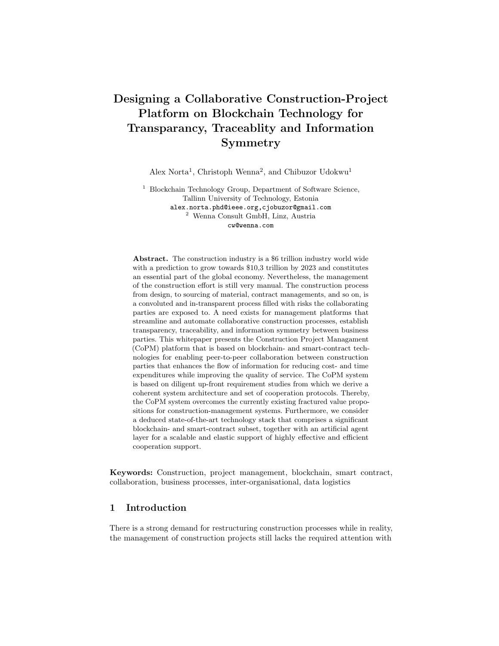ployment of the CoPM platform. The Ethereum, Qtum and Cardano networks are identified as the potential blockchain networks for executing smart contracts from the CoPM-platform. The IPFS and BigchainDB are identified as the extended data repository for storing digital assets created on the platform. The BIM-standard is identified as the ontology for representing digital assets such as building models and objects on the platform. The new IBM grain-sized chip computers in combination with RFIDs are identified as potential IoT-scanners for -monitoring and transmitting in realtime the status of a building object. As future work, we aim for a prototype implementation of the CoPM-platform.

# References

- 1. E. Alreshidi, M. Mourshed, and Y. Rezgui. Requirements for cloud-based bim governance solutions to facilitate team collaboration in construction projects. Requirements engineering, 23(1):1–31, 2018.
- 2. E. Androulaki, A. Barger, V. Bortnikov, C. Cachin, K. Christidis, A. De Caro, D. Enyeart, C. Ferris, G. Laventman, Y. Manevich, et al. Hyperledger fabric: a distributed operating system for permissioned blockchains. In *Proceedings of the* Thirteenth EuroSys Conference, page 30. ACM, 2018.
- 3. Y. Arayici, P. Coates, et al. A system engineering perspective to knowledge transfer: a case study approach of BIM adoption. InTech, 2012.
- 4. Y. Arayici, P. Coates, L. Koskela, M. Kagioglou, C. Usher, and K. O'Reilly. Bim adoption and implementation for architectural practices. Structural survey, 29(1):7– 25, 2011.
- 5. C. Badertscher, P. Gaži, A. Kiayias, A. Russell, and V. Zikas. Ouroboros genesis: Composable proof-of-stake blockchains with dynamic availability. In Proceedings of the 2018 ACM SIGSAC Conference on Computer and Communications Security, pages 913–930, 2018.
- 6. A. Baliga. Understanding blockchain consensus models. In Persistent. 2017.
- 7. M. Bassanino, T. Fernando, and K. Wu. Can virtual workspaces enhance team communication and collaboration in design review meetings? Architectural Engineering and Design Management, 10(3-4):200–217, 2014.
- 8. I. Belle. The architecture, engineering and construction industry and blockchain technology. Digital Culture, pages 279–284, 2017.
- 9. J. Benet. Ipfs-content addressed, versioned, p2p file system. arXiv preprint arXiv:1407.3561, 2014.
- 10. M. Benoliel. Understanding the difference between coins, utility tokens and tokenized securities. URL https://medium. com/startup-grind/a6522655fb91, 2017.
- 11. V. Buterin et al. Ethereum white paper. GitHub repository, pages 22–23, 2013.
- 12. V. Buterin et al. A next-generation smart contract and decentralized application platform,(2014). URl: https://github. com/ethereum/wiki/wiki/White-Paper (visited on 10/09/2016), 2014.
- 13. V. E. Buterin. 2.0 spec–casper and sharding, 2018. Available [online].[Accessed: 30-10-2018].
- 14. C. Cachin et al. Architecture of the hyperledger blockchain fabric. In Workshop on distributed cryptocurrencies and consensus ledgers, volume 310, page 4, 2016.
- 15. Y. Chen. Blockchain tokens and the potential democratization of entrepreneurship and innovation. Business Horizons, 61(4):567–575, 2018.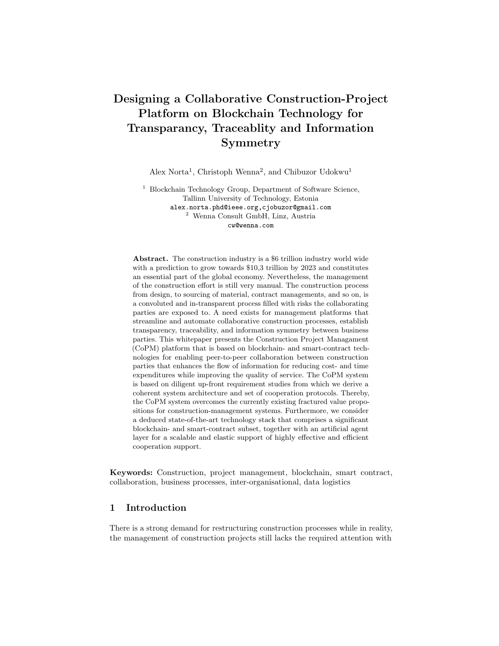- 16. J. L. B. Cisneros, F. M. Aarestrup, and O. Lund. Public health surveillance using decentralized technologies. Blockchain in Healthcare Today, 2018.
- 17. K. Croman, C. Decker, I. Eyal, A. E. Gencer, A. Juels, A. Kosba, A. Miller, P. Saxena, E. Shi, E. G. Sirer, et al. On scaling decentralized blockchains. In International Conference on Financial Cryptography and Data Security, pages 106–125. Springer, 2016.
- 18. P. Dai, N. Mahi, J. Earls, and A. Norta. Smart-contract value-transfer protocols on a distributed mobile application platform. URL: https://qtum. org/uploads/ les/cf6d69348ca50dd985b60425ccf282f3. pdf, page 10, 2017.
- 19. B. Dave, A. Buda, A. Nurminen, and K. Främling. A framework for integrating bim and iot through open standards. Automation in Construction, 95:35–45, 2018.
- 20. A. S. Devices. The m2x economy.
- 21. A. Dubois and L. Gadde. The construction industry as a loosely coupled system: implications for productivity and innovation. Construction Management & Economics, 20(7):621–631, 2002.
- 22. R. During. Lachnummer BER: Das Debakel um den Hauptstadt
ughafen, Eine Chronik. Rotbuch Verlag, 2013.
- 23. M. Farmer. The farmer review of the uk construction labour model. Construction Leadership Council, 2016.
- 24. E. García-Barriocanal, S. Sánchez-Alonso, and M.-A. Sicilia. Deploying metadata on blockchain technologies. In Research Conference on Metadata and Semantics Research, pages 38–49. Springer, 2017.
- 25. A. Grilo and R. Jardim-Goncalves. Value proposition on interoperability of bim and collaborative working environments. Automation in construction, 19(5):522–530, 2010.
- 26. D. Gross and E. Yu. From non-functional requirements to design through patterns. Requirements Engineering, 6(1):18–36, 2001.
- 27. M. Hosseini and N. Chileshe. Global virtual engineering teams (gvets): A fertile ground for research in australian construction projects context. International Journal of Project Management, 31(8):1101–1117, 2013.
- 28. M. Kassem, J. Lia, and D. Greenwood. Blockchain in the built environment: analysing current applications and developing an emergent framework. 2018.
- 29. A. Kiayias, A. Russell, B. David, and R. Oliynykov. Ouroboros: A provably secure proof-of-stake blockchain protocol. In Annual International Cryptology Conference, pages 357–388. Springer, 2017.
- 30. G. Kostka and J. Fiedler. Large Infrastructure Projects in Germany: Between Ambition and Realities. Springer, 2016.
- 31. J. Kraatz and A. Sanchez. R&d investment and impact in the global construction industry, 2014.
- 32. N. Lu and T. Korman. Implementation of building information modeling (bim) in modular construction: Benefits and challenges. In Construction Research Congress 2010: Innovation for Reshaping Construction Practice, pages 1136–1145, 2010.
- 33. Z. Ma, Z. Wei, and X. Zhang. Semi-automatic and specification-compliant cost estimation for tendering of building projects based on ifc data of design model. Automation in Construction, 30:126–135, 2013.
- 34. T. McConaghy, R. Marques, A. Müller, D. De Jonghe, T. McConaghy, G. McMullen, R. Henderson, S. Bellemare, and A. Granzotto. Bigchaindb: a scalable blockchain database. white paper, BigChainDB, 2016.
- 35. G. Mignone, N. Hosseini, M.R.and Chileshe, and M. Arashpour. Enhancing collaboration in bim-based construction networks through organisational discontinuity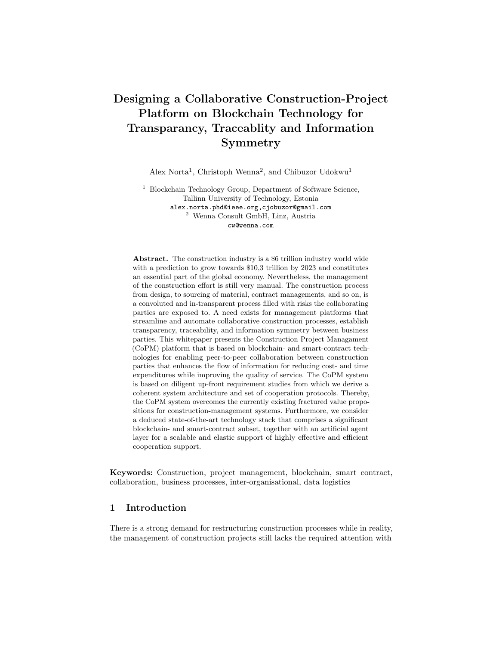theory: a case study of the new royal adelaide hospital. Architectural Engineering and Design Management, 12(5):333–352, 2016.

- 36. S. Mihindu and Y. Arayici. Digital construction through bim systems will drive the re-engineering of construction business practices. In 2008 international conference visualisation, pages 29–34. IEEE, 2008.
- 37. S. Nakamoto. Bitcoin: A peer-to-peer electronic cash system. 2008.
- 38. N. O. Nawari. Bim standard in off-site construction. Journal of Architectural Engineering, 18(2):107–113, 2012.
- 39. A. Norta. Creation of smart-contracting collaborations for decentralized autonomous organizations. In International Conference on Business Informatics Research, pages 3–17. Springer, 2015.
- 40. A. Norta. Designing a smart-contract application layer for transacting decentralized autonomous organizations. In International Conference on Advances in Computing and Data Sciences, pages 595–604. Springer, 2016.
- 41. A. Norta, P. Grefen, and N. C. Narendra. A reference architecture for managing dynamic inter-organizational business processes. Data & Knowledge Engineering, 91:52–89, 2014.
- 42. T. Oesterreich and F. Teuteberg. Understanding the implications of digitisation and automation in the context of industry 4.0: A triangulation approach and elements of a research agenda for the construction industry. Computers in Industry, 83:121–139, 2016.
- 43. E. Poirier, D. Forgues, and S. Staub-French. Collaboration through innovation: implications for expertise in the aec sector. Construction management and economics, 34(11):769–789, 2016.
- 44. S. Popov. The tangle, iota whitepaper, 2018.
- 45. R. Sebastian. Changing roles of the clients, architects and contractors through bim. Engineering, Construction and Architectural Management, 18(2):176–187, 2011.
- 46. W. Shen, Q. Hao, H. Mak, J. Neelamkavil, H. Xie, J. Dickinson, R. Thomas, A. Pardasani, and H. Xue. Systems integration and collaboration in architecture, engineering, construction, and facilities management: A review. Advanced engineering informatics, 24(2):196–207, 2010.
- 47. L. Sterling and K. Taveter. The Art of Agent-Oriented Modeling. The MIT Press, 2009.
- 48. D. Tapscott and A. Tapscott. Blockchain revolution: how the technology behind bitcoin is changing money, business, and the world. Penguin, 2016.
- 49. P. Teicholz. Labor-productivity declines in the construction industry: causes and remedies (a second look). AECbytes Viewpoint, 2013.
- 50. C. D. Thimmaiah, S. Disha, D. Nayak, B. Diya, and H. Gururaj. Decentralized electronic medical records. 2019.
- 51. S. Thompson. Haskell: the craft of functional programming, volume 2. Addison-Wesley, 2011.
- 52. C. Udokwu, A. Kormiltsyn, K. Thangalimodzi, and A. Norta. The state of the art for blockchain-enabled smart-contract applications in the organization. In 2018 Ivannikov Ispras Open Conference (ISPRAS), pages 137–144. IEEE, 2018.
- 53. O. UML. Omg  $(2017)$  unified modeling language $\circledR$  (omg uml $\circledR$ ) version 2.5. 1 https://www. omg. org/spec. UML, 2017.
- 54. J. Wang, P. Wu, X. Wang, and W. Shou. The outlook of blockchain technology for construction engineering management. Frontiers of engineering management, 4(1):67–75, 2017.